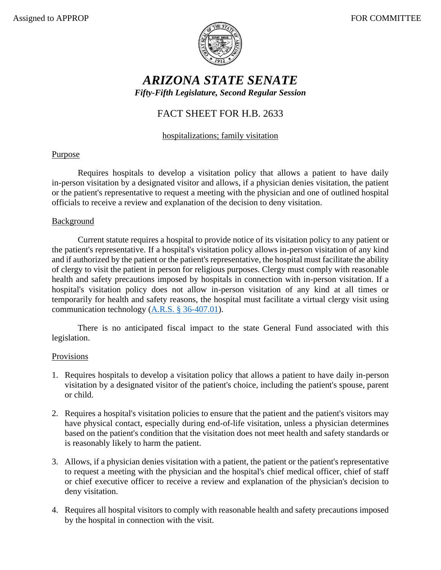

# *ARIZONA STATE SENATE Fifty-Fifth Legislature, Second Regular Session*

## FACT SHEET FOR H.B. 2633

## hospitalizations; family visitation

### Purpose

Requires hospitals to develop a visitation policy that allows a patient to have daily in-person visitation by a designated visitor and allows, if a physician denies visitation, the patient or the patient's representative to request a meeting with the physician and one of outlined hospital officials to receive a review and explanation of the decision to deny visitation.

#### Background

Current statute requires a hospital to provide notice of its visitation policy to any patient or the patient's representative. If a hospital's visitation policy allows in-person visitation of any kind and if authorized by the patient or the patient's representative, the hospital must facilitate the ability of clergy to visit the patient in person for religious purposes. Clergy must comply with reasonable health and safety precautions imposed by hospitals in connection with in-person visitation. If a hospital's visitation policy does not allow in-person visitation of any kind at all times or temporarily for health and safety reasons, the hospital must facilitate a virtual clergy visit using communication technology [\(A.R.S. § 36-407.01\)](https://www.azleg.gov/viewdocument/?docName=https://www.azleg.gov/ars/36/00407-01.htm).

There is no anticipated fiscal impact to the state General Fund associated with this legislation.

#### Provisions

- 1. Requires hospitals to develop a visitation policy that allows a patient to have daily in-person visitation by a designated visitor of the patient's choice, including the patient's spouse, parent or child.
- 2. Requires a hospital's visitation policies to ensure that the patient and the patient's visitors may have physical contact, especially during end-of-life visitation, unless a physician determines based on the patient's condition that the visitation does not meet health and safety standards or is reasonably likely to harm the patient.
- 3. Allows, if a physician denies visitation with a patient, the patient or the patient's representative to request a meeting with the physician and the hospital's chief medical officer, chief of staff or chief executive officer to receive a review and explanation of the physician's decision to deny visitation.
- 4. Requires all hospital visitors to comply with reasonable health and safety precautions imposed by the hospital in connection with the visit.